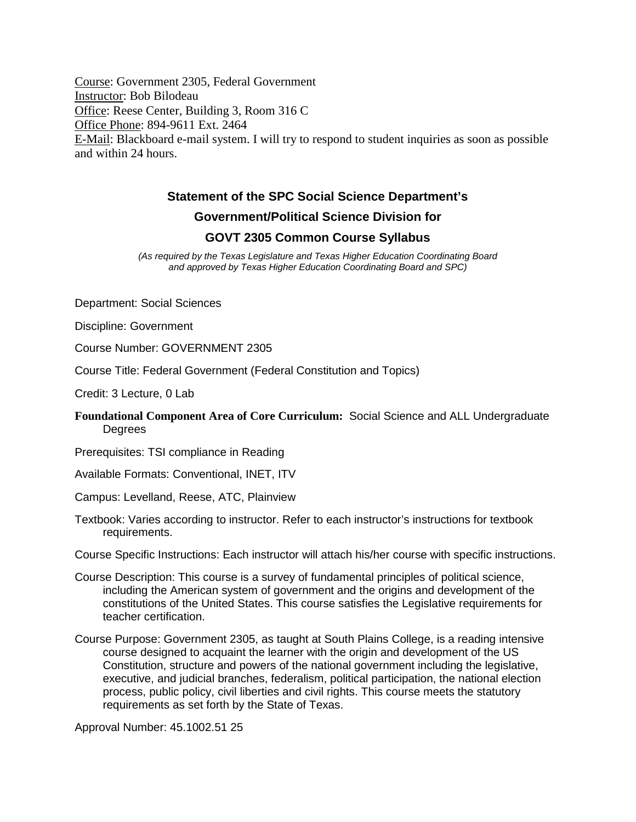Course: Government 2305, Federal Government Instructor: Bob Bilodeau Office: Reese Center, Building 3, Room 316 C Office Phone: 894-9611 Ext. 2464 E-Mail: Blackboard e-mail system. I will try to respond to student inquiries as soon as possible and within 24 hours.

# **Statement of the SPC Social Science Department's**

# **Government/Political Science Division for**

#### **GOVT 2305 Common Course Syllabus**

*(As required by the Texas Legislature and Texas Higher Education Coordinating Board and approved by Texas Higher Education Coordinating Board and SPC)*

Department: Social Sciences

Discipline: Government

Course Number: GOVERNMENT 2305

Course Title: Federal Government (Federal Constitution and Topics)

Credit: 3 Lecture, 0 Lab

#### **Foundational Component Area of Core Curriculum:** Social Science and ALL Undergraduate **Degrees**

Prerequisites: TSI compliance in Reading

Available Formats: Conventional, INET, ITV

Campus: Levelland, Reese, ATC, Plainview

Textbook: Varies according to instructor. Refer to each instructor's instructions for textbook requirements.

Course Specific Instructions: Each instructor will attach his/her course with specific instructions.

- Course Description: This course is a survey of fundamental principles of political science, including the American system of government and the origins and development of the constitutions of the United States. This course satisfies the Legislative requirements for teacher certification.
- Course Purpose: Government 2305, as taught at South Plains College, is a reading intensive course designed to acquaint the learner with the origin and development of the US Constitution, structure and powers of the national government including the legislative, executive, and judicial branches, federalism, political participation, the national election process, public policy, civil liberties and civil rights. This course meets the statutory requirements as set forth by the State of Texas.

Approval Number: 45.1002.51 25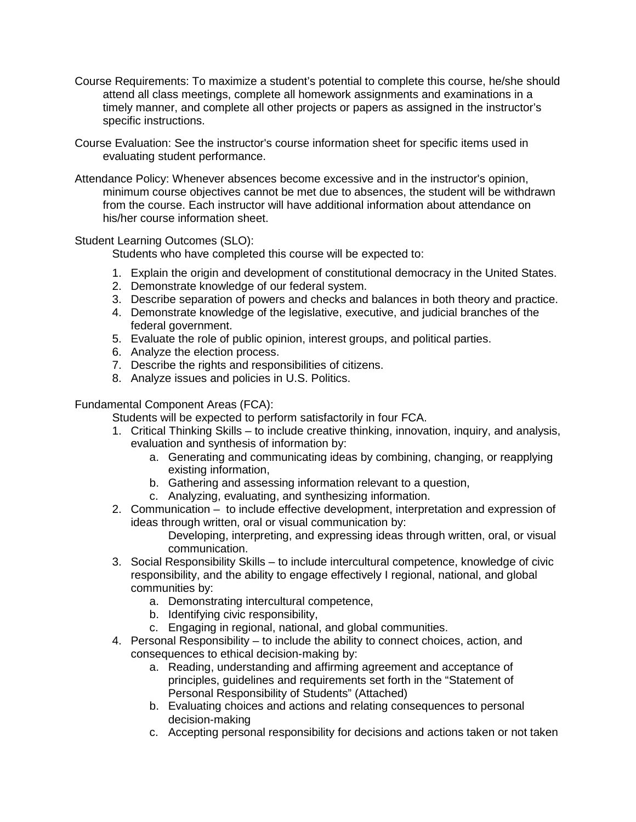- Course Requirements: To maximize a student's potential to complete this course, he/she should attend all class meetings, complete all homework assignments and examinations in a timely manner, and complete all other projects or papers as assigned in the instructor's specific instructions.
- Course Evaluation: See the instructor's course information sheet for specific items used in evaluating student performance.
- Attendance Policy: Whenever absences become excessive and in the instructor's opinion, minimum course objectives cannot be met due to absences, the student will be withdrawn from the course. Each instructor will have additional information about attendance on his/her course information sheet.

Student Learning Outcomes (SLO):

Students who have completed this course will be expected to:

- 1. Explain the origin and development of constitutional democracy in the United States.
- 2. Demonstrate knowledge of our federal system.
- 3. Describe separation of powers and checks and balances in both theory and practice.
- 4. Demonstrate knowledge of the legislative, executive, and judicial branches of the federal government.
- 5. Evaluate the role of public opinion, interest groups, and political parties.
- 6. Analyze the election process.
- 7. Describe the rights and responsibilities of citizens.
- 8. Analyze issues and policies in U.S. Politics.

Fundamental Component Areas (FCA):

Students will be expected to perform satisfactorily in four FCA.

- 1. Critical Thinking Skills to include creative thinking, innovation, inquiry, and analysis, evaluation and synthesis of information by:
	- a. Generating and communicating ideas by combining, changing, or reapplying existing information,
	- b. Gathering and assessing information relevant to a question,
	- c. Analyzing, evaluating, and synthesizing information.
- 2. Communication to include effective development, interpretation and expression of ideas through written, oral or visual communication by:

Developing, interpreting, and expressing ideas through written, oral, or visual communication.

- 3. Social Responsibility Skills to include intercultural competence, knowledge of civic responsibility, and the ability to engage effectively I regional, national, and global communities by:
	- a. Demonstrating intercultural competence,
	- b. Identifying civic responsibility,
	- c. Engaging in regional, national, and global communities.
- 4. Personal Responsibility to include the ability to connect choices, action, and consequences to ethical decision-making by:
	- a. Reading, understanding and affirming agreement and acceptance of principles, guidelines and requirements set forth in the "Statement of Personal Responsibility of Students" (Attached)
	- b. Evaluating choices and actions and relating consequences to personal decision-making
	- c. Accepting personal responsibility for decisions and actions taken or not taken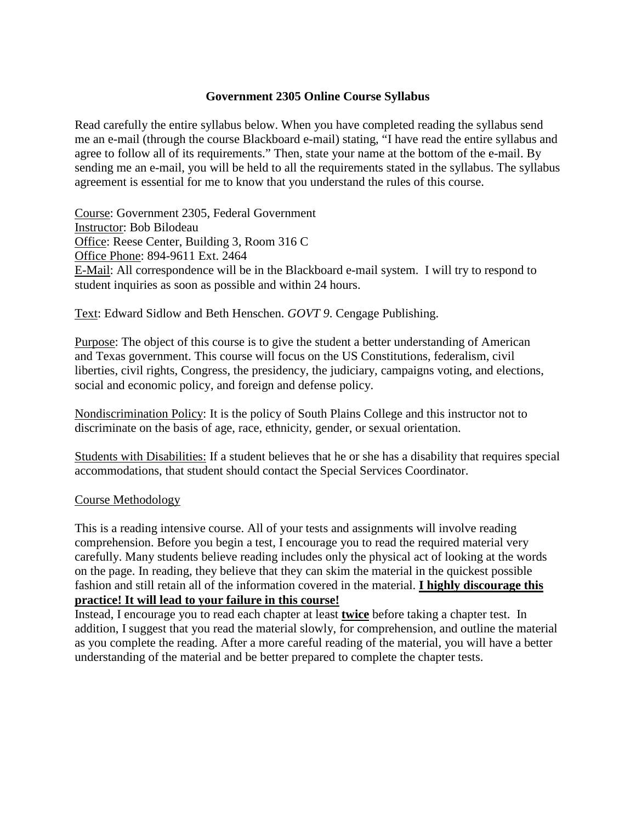### **Government 2305 Online Course Syllabus**

Read carefully the entire syllabus below. When you have completed reading the syllabus send me an e-mail (through the course Blackboard e-mail) stating, "I have read the entire syllabus and agree to follow all of its requirements." Then, state your name at the bottom of the e-mail. By sending me an e-mail, you will be held to all the requirements stated in the syllabus. The syllabus agreement is essential for me to know that you understand the rules of this course.

Course: Government 2305, Federal Government Instructor: Bob Bilodeau Office: Reese Center, Building 3, Room 316 C Office Phone: 894-9611 Ext. 2464 E-Mail: All correspondence will be in the Blackboard e-mail system. I will try to respond to student inquiries as soon as possible and within 24 hours.

Text: Edward Sidlow and Beth Henschen. *GOVT 9*. Cengage Publishing.

Purpose: The object of this course is to give the student a better understanding of American and Texas government. This course will focus on the US Constitutions, federalism, civil liberties, civil rights, Congress, the presidency, the judiciary, campaigns voting, and elections, social and economic policy, and foreign and defense policy.

Nondiscrimination Policy: It is the policy of South Plains College and this instructor not to discriminate on the basis of age, race, ethnicity, gender, or sexual orientation.

Students with Disabilities: If a student believes that he or she has a disability that requires special accommodations, that student should contact the Special Services Coordinator.

#### Course Methodology

This is a reading intensive course. All of your tests and assignments will involve reading comprehension. Before you begin a test, I encourage you to read the required material very carefully. Many students believe reading includes only the physical act of looking at the words on the page. In reading, they believe that they can skim the material in the quickest possible fashion and still retain all of the information covered in the material. **I highly discourage this practice! It will lead to your failure in this course!**

Instead, I encourage you to read each chapter at least **twice** before taking a chapter test. In addition, I suggest that you read the material slowly, for comprehension, and outline the material as you complete the reading. After a more careful reading of the material, you will have a better understanding of the material and be better prepared to complete the chapter tests.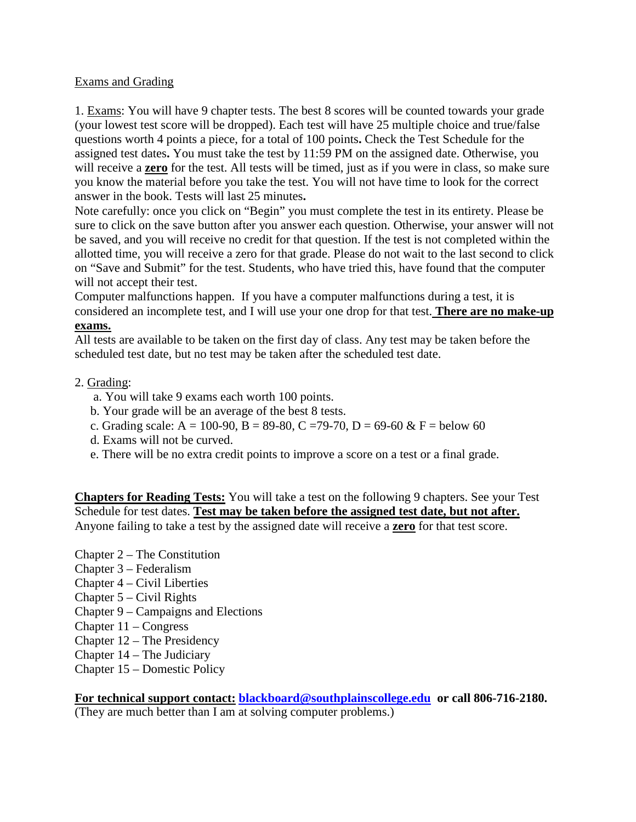# Exams and Grading

1. Exams: You will have 9 chapter tests. The best 8 scores will be counted towards your grade (your lowest test score will be dropped). Each test will have 25 multiple choice and true/false questions worth 4 points a piece, for a total of 100 points**.** Check the Test Schedule for the assigned test dates**.** You must take the test by 11:59 PM on the assigned date. Otherwise, you will receive a **zero** for the test. All tests will be timed, just as if you were in class, so make sure you know the material before you take the test. You will not have time to look for the correct answer in the book. Tests will last 25 minutes**.**

Note carefully: once you click on "Begin" you must complete the test in its entirety. Please be sure to click on the save button after you answer each question. Otherwise, your answer will not be saved, and you will receive no credit for that question. If the test is not completed within the allotted time, you will receive a zero for that grade. Please do not wait to the last second to click on "Save and Submit" for the test. Students, who have tried this, have found that the computer will not accept their test.

Computer malfunctions happen. If you have a computer malfunctions during a test, it is considered an incomplete test, and I will use your one drop for that test. **There are no make-up exams.**

All tests are available to be taken on the first day of class. Any test may be taken before the scheduled test date, but no test may be taken after the scheduled test date.

# 2. Grading:

- a. You will take 9 exams each worth 100 points.
- b. Your grade will be an average of the best 8 tests.
- c. Grading scale: A = 100-90, B = 89-80, C = 79-70, D = 69-60 & F = below 60
- d. Exams will not be curved.
- e. There will be no extra credit points to improve a score on a test or a final grade.

**Chapters for Reading Tests:** You will take a test on the following 9 chapters. See your Test Schedule for test dates. **Test may be taken before the assigned test date, but not after.** Anyone failing to take a test by the assigned date will receive a **zero** for that test score.

- Chapter 2 The Constitution
- Chapter 3 Federalism
- Chapter 4 Civil Liberties
- Chapter 5 Civil Rights
- Chapter 9 Campaigns and Elections
- Chapter 11 Congress
- Chapter 12 The Presidency
- Chapter 14 The Judiciary
- Chapter 15 Domestic Policy

**For technical support contact: [blackboard@southplainscollege.edu](mailto:blackboard@southplainscollege.edu) or call 806-716-2180.** (They are much better than I am at solving computer problems.)